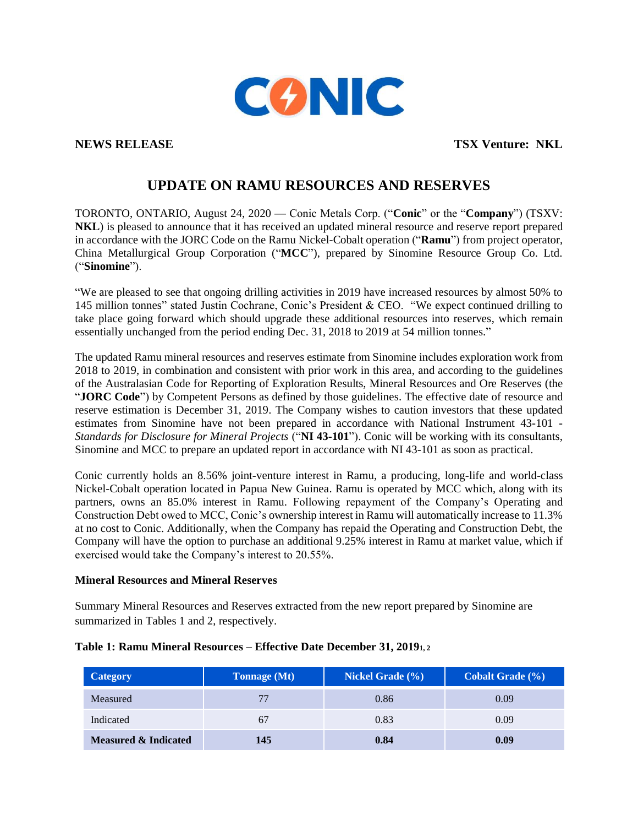

**NEWS RELEASE TSX Venture: NKL**

# **UPDATE ON RAMU RESOURCES AND RESERVES**

TORONTO, ONTARIO, August 24, 2020 — Conic Metals Corp. ("**Conic**" or the "**Company**") (TSXV: **NKL**) is pleased to announce that it has received an updated mineral resource and reserve report prepared in accordance with the JORC Code on the Ramu Nickel-Cobalt operation ("**Ramu**") from project operator, China Metallurgical Group Corporation ("**MCC**"), prepared by Sinomine Resource Group Co. Ltd. ("**Sinomine**").

"We are pleased to see that ongoing drilling activities in 2019 have increased resources by almost 50% to 145 million tonnes" stated Justin Cochrane, Conic's President & CEO. "We expect continued drilling to take place going forward which should upgrade these additional resources into reserves, which remain essentially unchanged from the period ending Dec. 31, 2018 to 2019 at 54 million tonnes."

The updated Ramu mineral resources and reserves estimate from Sinomine includes exploration work from 2018 to 2019, in combination and consistent with prior work in this area, and according to the guidelines of the Australasian Code for Reporting of Exploration Results, Mineral Resources and Ore Reserves (the "**JORC Code**") by Competent Persons as defined by those guidelines. The effective date of resource and reserve estimation is December 31, 2019. The Company wishes to caution investors that these updated estimates from Sinomine have not been prepared in accordance with National Instrument 43-101 - *Standards for Disclosure for Mineral Projects* ("**NI 43-101**"). Conic will be working with its consultants, Sinomine and MCC to prepare an updated report in accordance with NI 43-101 as soon as practical.

Conic currently holds an 8.56% joint-venture interest in Ramu, a producing, long-life and world-class Nickel-Cobalt operation located in Papua New Guinea. Ramu is operated by MCC which, along with its partners, owns an 85.0% interest in Ramu. Following repayment of the Company's Operating and Construction Debt owed to MCC, Conic's ownership interest in Ramu will automatically increase to 11.3% at no cost to Conic. Additionally, when the Company has repaid the Operating and Construction Debt, the Company will have the option to purchase an additional 9.25% interest in Ramu at market value, which if exercised would take the Company's interest to 20.55%.

# **Mineral Resources and Mineral Reserves**

Summary Mineral Resources and Reserves extracted from the new report prepared by Sinomine are summarized in Tables 1 and 2, respectively.

| <b>Category</b>      | Tonnage (Mt) | <b>Nickel Grade</b> (%) | Cobalt Grade (%) |
|----------------------|--------------|-------------------------|------------------|
| Measured             | 77           | 0.86                    | 0.09             |
| Indicated            | 67           | 0.83                    | 0.09             |
| Measured & Indicated | 145          | 0.84                    | 0.09             |

# **Table 1: Ramu Mineral Resources – Effective Date December 31, 20191, <sup>2</sup>**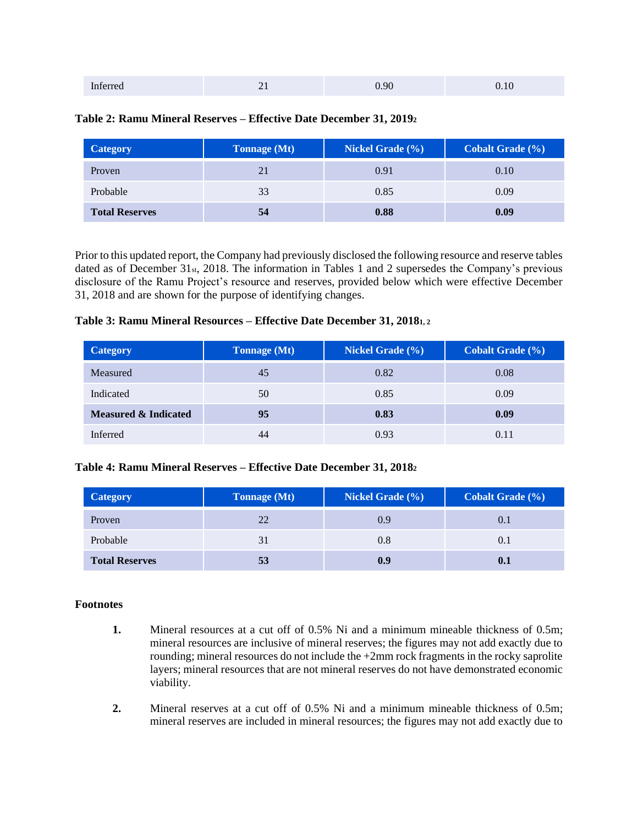| Inferred | $-1$ | .90<br>J. |  |
|----------|------|-----------|--|
|          |      |           |  |

#### **Table 2: Ramu Mineral Reserves – Effective Date December 31, 2019<sup>2</sup>**

| <b>Category</b>       | <b>Tonnage</b> (Mt) | <b>Nickel Grade</b> (%) | Cobalt Grade (%) |
|-----------------------|---------------------|-------------------------|------------------|
| Proven                | 21                  | 0.91                    | 0.10             |
| Probable              | 33                  | 0.85                    | 0.09             |
| <b>Total Reserves</b> | 54                  | 0.88                    | 0.09             |

Prior to this updated report, the Company had previously disclosed the following resource and reserve tables dated as of December 31st, 2018. The information in Tables 1 and 2 supersedes the Company's previous disclosure of the Ramu Project's resource and reserves, provided below which were effective December 31, 2018 and are shown for the purpose of identifying changes.

# **Table 3: Ramu Mineral Resources – Effective Date December 31, 20181, <sup>2</sup>**

| <b>Category</b>                 | <b>Tonnage</b> (Mt) | Nickel Grade $(\%)$ | <b>Cobalt Grade</b> (%) |
|---------------------------------|---------------------|---------------------|-------------------------|
| Measured                        | 45                  | 0.82                | 0.08                    |
| Indicated                       | 50                  | 0.85                | 0.09                    |
| <b>Measured &amp; Indicated</b> | 95                  | 0.83                | 0.09                    |
| Inferred                        | 44                  | 0.93                | 0.11                    |

# **Table 4: Ramu Mineral Reserves – Effective Date December 31, 2018<sup>2</sup>**

| <b>Category</b>       | <b>Tonnage</b> (Mt) | Nickel Grade $(\% )$ | <b>Cobalt Grade</b> (%) |
|-----------------------|---------------------|----------------------|-------------------------|
| Proven                | 22                  | 0.9                  |                         |
| Probable              |                     | 0.8                  | 0.1                     |
| <b>Total Reserves</b> | 53                  | 0.9                  |                         |

#### **Footnotes**

- **1.** Mineral resources at a cut off of 0.5% Ni and a minimum mineable thickness of 0.5m; mineral resources are inclusive of mineral reserves; the figures may not add exactly due to rounding; mineral resources do not include the +2mm rock fragments in the rocky saprolite layers; mineral resources that are not mineral reserves do not have demonstrated economic viability.
- **2.** Mineral reserves at a cut off of 0.5% Ni and a minimum mineable thickness of 0.5m; mineral reserves are included in mineral resources; the figures may not add exactly due to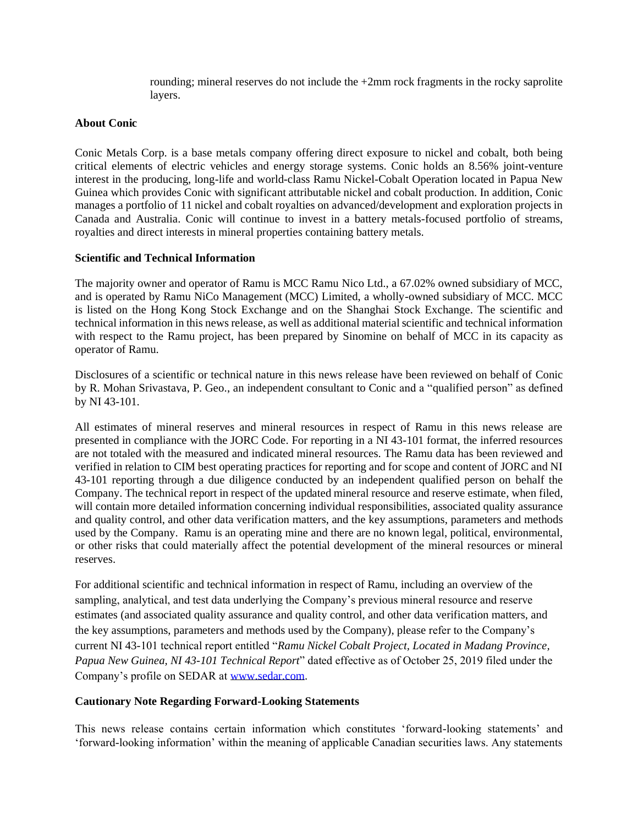rounding; mineral reserves do not include the +2mm rock fragments in the rocky saprolite layers.

# **About Conic**

Conic Metals Corp. is a base metals company offering direct exposure to nickel and cobalt, both being critical elements of electric vehicles and energy storage systems. Conic holds an 8.56% joint-venture interest in the producing, long-life and world-class Ramu Nickel-Cobalt Operation located in Papua New Guinea which provides Conic with significant attributable nickel and cobalt production. In addition, Conic manages a portfolio of 11 nickel and cobalt royalties on advanced/development and exploration projects in Canada and Australia. Conic will continue to invest in a battery metals-focused portfolio of streams, royalties and direct interests in mineral properties containing battery metals.

#### **Scientific and Technical Information**

The majority owner and operator of Ramu is MCC Ramu Nico Ltd., a 67.02% owned subsidiary of MCC, and is operated by Ramu NiCo Management (MCC) Limited, a wholly-owned subsidiary of MCC. MCC is listed on the Hong Kong Stock Exchange and on the Shanghai Stock Exchange. The scientific and technical information in this news release, as well as additional material scientific and technical information with respect to the Ramu project, has been prepared by Sinomine on behalf of MCC in its capacity as operator of Ramu.

Disclosures of a scientific or technical nature in this news release have been reviewed on behalf of Conic by R. Mohan Srivastava, P. Geo., an independent consultant to Conic and a "qualified person" as defined by NI 43-101.

All estimates of mineral reserves and mineral resources in respect of Ramu in this news release are presented in compliance with the JORC Code. For reporting in a NI 43-101 format, the inferred resources are not totaled with the measured and indicated mineral resources. The Ramu data has been reviewed and verified in relation to CIM best operating practices for reporting and for scope and content of JORC and NI 43-101 reporting through a due diligence conducted by an independent qualified person on behalf the Company. The technical report in respect of the updated mineral resource and reserve estimate, when filed, will contain more detailed information concerning individual responsibilities, associated quality assurance and quality control, and other data verification matters, and the key assumptions, parameters and methods used by the Company. Ramu is an operating mine and there are no known legal, political, environmental, or other risks that could materially affect the potential development of the mineral resources or mineral reserves.

For additional scientific and technical information in respect of Ramu, including an overview of the sampling, analytical, and test data underlying the Company's previous mineral resource and reserve estimates (and associated quality assurance and quality control, and other data verification matters, and the key assumptions, parameters and methods used by the Company), please refer to the Company's current NI 43-101 technical report entitled "*Ramu Nickel Cobalt Project, Located in Madang Province, Papua New Guinea, NI 43-101 Technical Report*" dated effective as of October 25, 2019 filed under the Company's profile on SEDAR at [www.sedar.com.](http://www.sedar.com/)

#### **Cautionary Note Regarding Forward-Looking Statements**

This news release contains certain information which constitutes 'forward-looking statements' and 'forward-looking information' within the meaning of applicable Canadian securities laws. Any statements